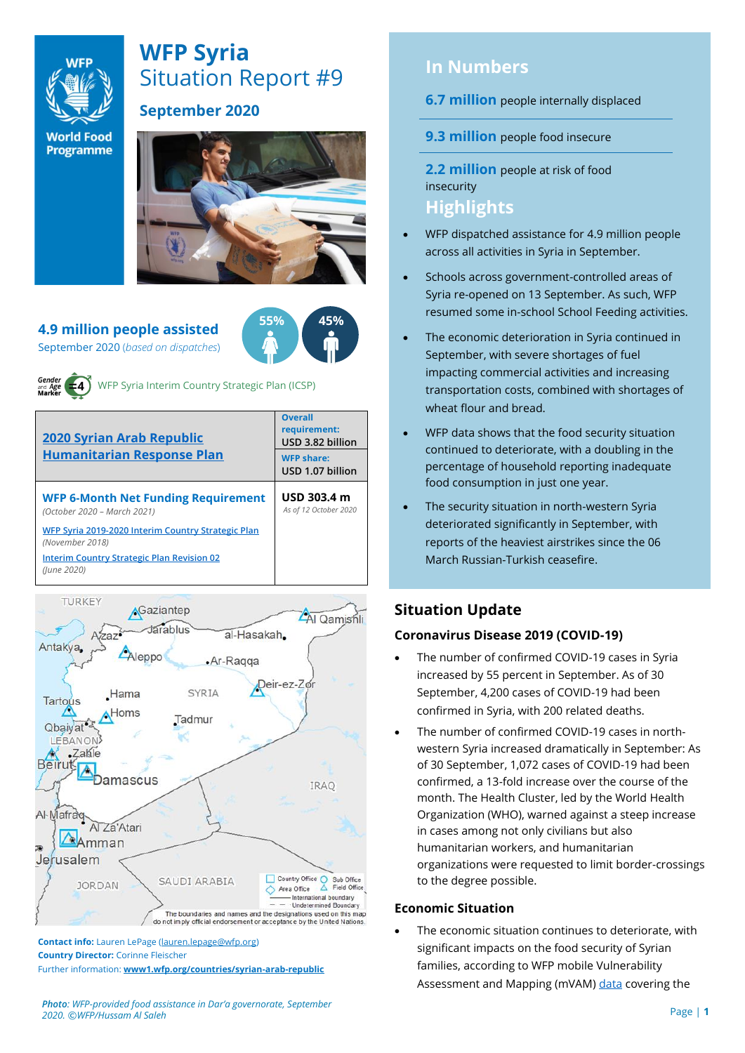

# **WFP Syria** Situation Report #9

# **September 2020**

**World Food Programme** 



**55% 45%**

**4.9 million people assisted**  September 2020 (*based on dispatches*)



WFP Syria Interim Country Strategic Plan (ICSP)

| <b>2020 Syrian Arab Republic</b>                                          | <b>Overall</b><br>requirement:<br>USD 3.82 billion |
|---------------------------------------------------------------------------|----------------------------------------------------|
| <b>Humanitarian Response Plan</b>                                         | <b>WFP share:</b><br>USD 1.07 billion              |
| <b>WFP 6-Month Net Funding Requirement</b><br>(October 2020 - March 2021) | USD 303.4 m<br>As of 12 October 2020               |
| WFP Syria 2019-2020 Interim Country Strategic Plan<br>(November 2018)     |                                                    |
| <b>Interim Country Strategic Plan Revision 02</b><br>(lune 2020)          |                                                    |
|                                                                           |                                                    |



**Contact info:** Lauren LePage [\(lauren.lepage@wfp.org\)](mailto:lauren.lepage@wfp.org) **Country Director:** Corinne Fleischer Further information: **[www1.wfp.org/countries/syrian-arab-republic](file:///C:/Users/lauren.lepage/AppData/Local/Microsoft/Windows/INetCache/Content.Outlook/HTRVWXQN/www1.wfp.org/countries/syrian-arab-republic)**

# **In Numbers**

**6.7 million** people internally displaced

**9.3 million** people food insecure

**2.2 million** people at risk of food insecurity

# **Highlights**

- WFP dispatched assistance for 4.9 million people across all activities in Syria in September.
- Schools across government-controlled areas of Syria re-opened on 13 September. As such, WFP resumed some in-school School Feeding activities.
- The economic deterioration in Syria continued in September, with severe shortages of fuel impacting commercial activities and increasing transportation costs, combined with shortages of wheat flour and bread.
- WFP data shows that the food security situation continued to deteriorate, with a doubling in the percentage of household reporting inadequate food consumption in just one year.
- The security situation in north-western Syria deteriorated significantly in September, with reports of the heaviest airstrikes since the 06 March Russian-Turkish ceasefire.

# **Situation Update**

### **Coronavirus Disease 2019 (COVID-19)**

- The number of confirmed COVID-19 cases in Syria increased by 55 percent in September. As of 30 September, 4,200 cases of COVID-19 had been confirmed in Syria, with 200 related deaths.
- The number of confirmed COVID-19 cases in northwestern Syria increased dramatically in September: As of 30 September, 1,072 cases of COVID-19 had been confirmed, a 13-fold increase over the course of the month. The Health Cluster, led by the World Health Organization (WHO), warned against a steep increase in cases among not only civilians but also humanitarian workers, and humanitarian organizations were requested to limit border-crossings to the degree possible.

#### **Economic Situation**

The economic situation continues to deteriorate, with significant impacts on the food security of Syrian families, according to WFP mobile Vulnerability Assessment and Mapping (mVAM[\) data](https://docs.wfp.org/api/documents/WFP-0000119617/download/) covering the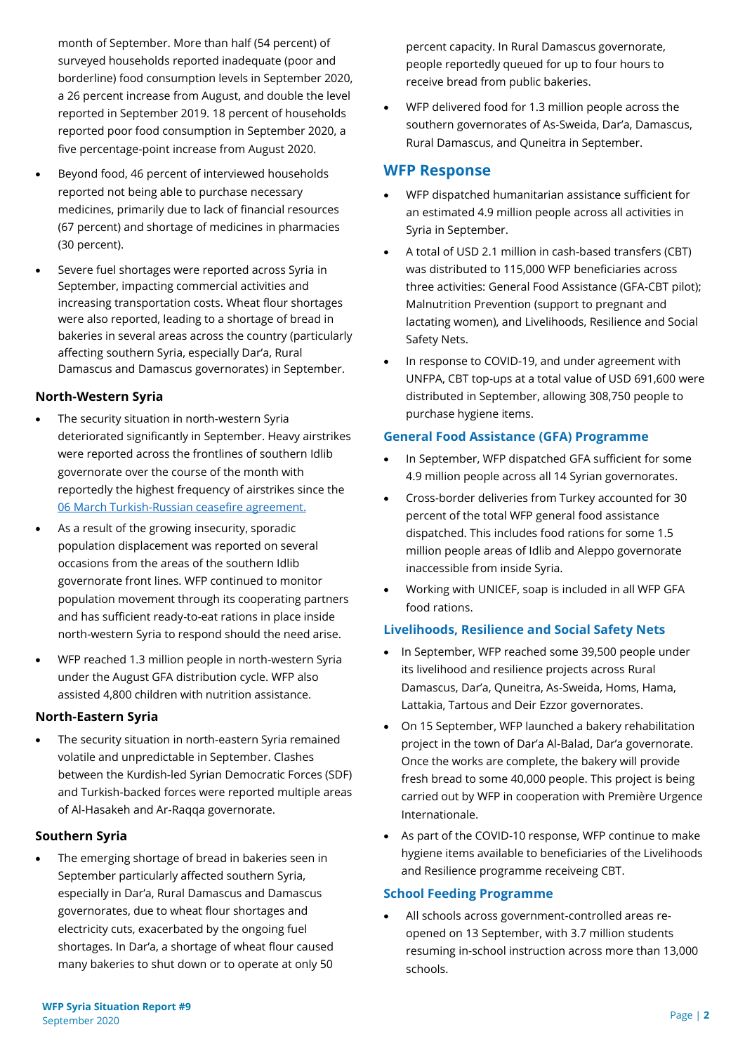month of September. More than half (54 percent) of surveyed households reported inadequate (poor and borderline) food consumption levels in September 2020, a 26 percent increase from August, and double the level reported in September 2019. 18 percent of households reported poor food consumption in September 2020, a five percentage-point increase from August 2020.

- Beyond food, 46 percent of interviewed households reported not being able to purchase necessary medicines, primarily due to lack of financial resources (67 percent) and shortage of medicines in pharmacies (30 percent).
- Severe fuel shortages were reported across Syria in September, impacting commercial activities and increasing transportation costs. Wheat flour shortages were also reported, leading to a shortage of bread in bakeries in several areas across the country (particularly affecting southern Syria, especially Dar'a, Rural Damascus and Damascus governorates) in September.

#### **North-Western Syria**

- The security situation in north-western Syria deteriorated significantly in September. Heavy airstrikes were reported across the frontlines of southern Idlib governorate over the course of the month with reportedly the highest frequency of airstrikes since the [06 March Turkish-Russian ceasefire agreement.](https://docs.wfp.org/api/documents/40ca6ba502e24e5bbf6d711fa56f8b10/download/)
- As a result of the growing insecurity, sporadic population displacement was reported on several occasions from the areas of the southern Idlib governorate front lines. WFP continued to monitor population movement through its cooperating partners and has sufficient ready-to-eat rations in place inside north-western Syria to respond should the need arise.
- WFP reached 1.3 million people in north-western Syria under the August GFA distribution cycle. WFP also assisted 4,800 children with nutrition assistance.

#### **North-Eastern Syria**

The security situation in north-eastern Syria remained volatile and unpredictable in September. Clashes between the Kurdish-led Syrian Democratic Forces (SDF) and Turkish-backed forces were reported multiple areas of Al-Hasakeh and Ar-Raqqa governorate.

#### **Southern Syria**

The emerging shortage of bread in bakeries seen in September particularly affected southern Syria, especially in Dar'a, Rural Damascus and Damascus governorates, due to wheat flour shortages and electricity cuts, exacerbated by the ongoing fuel shortages. In Dar'a, a shortage of wheat flour caused many bakeries to shut down or to operate at only 50

percent capacity. In Rural Damascus governorate, people reportedly queued for up to four hours to receive bread from public bakeries.

• WFP delivered food for 1.3 million people across the southern governorates of As-Sweida, Dar'a, Damascus, Rural Damascus, and Quneitra in September.

# **WFP Response**

- WFP dispatched humanitarian assistance sufficient for an estimated 4.9 million people across all activities in Syria in September.
- A total of USD 2.1 million in cash-based transfers (CBT) was distributed to 115,000 WFP beneficiaries across three activities: General Food Assistance (GFA-CBT pilot); Malnutrition Prevention (support to pregnant and lactating women), and Livelihoods, Resilience and Social Safety Nets.
- In response to COVID-19, and under agreement with UNFPA, CBT top-ups at a total value of USD 691,600 were distributed in September, allowing 308,750 people to purchase hygiene items.

# **General Food Assistance (GFA) Programme**

- In September, WFP dispatched GFA sufficient for some 4.9 million people across all 14 Syrian governorates.
- Cross-border deliveries from Turkey accounted for 30 percent of the total WFP general food assistance dispatched. This includes food rations for some 1.5 million people areas of Idlib and Aleppo governorate inaccessible from inside Syria.
- Working with UNICEF, soap is included in all WFP GFA food rations.

### **Livelihoods, Resilience and Social Safety Nets**

- In September, WFP reached some 39,500 people under its livelihood and resilience projects across Rural Damascus, Dar'a, Quneitra, As-Sweida, Homs, Hama, Lattakia, Tartous and Deir Ezzor governorates.
- On 15 September, WFP launched a bakery rehabilitation project in the town of Dar'a Al-Balad, Dar'a governorate. Once the works are complete, the bakery will provide fresh bread to some 40,000 people. This project is being carried out by WFP in cooperation with Première Urgence Internationale.
- As part of the COVID-10 response, WFP continue to make hygiene items available to beneficiaries of the Livelihoods and Resilience programme receiveing CBT.

### **School Feeding Programme**

• All schools across government-controlled areas reopened on 13 September, with 3.7 million students resuming in-school instruction across more than 13,000 schools.